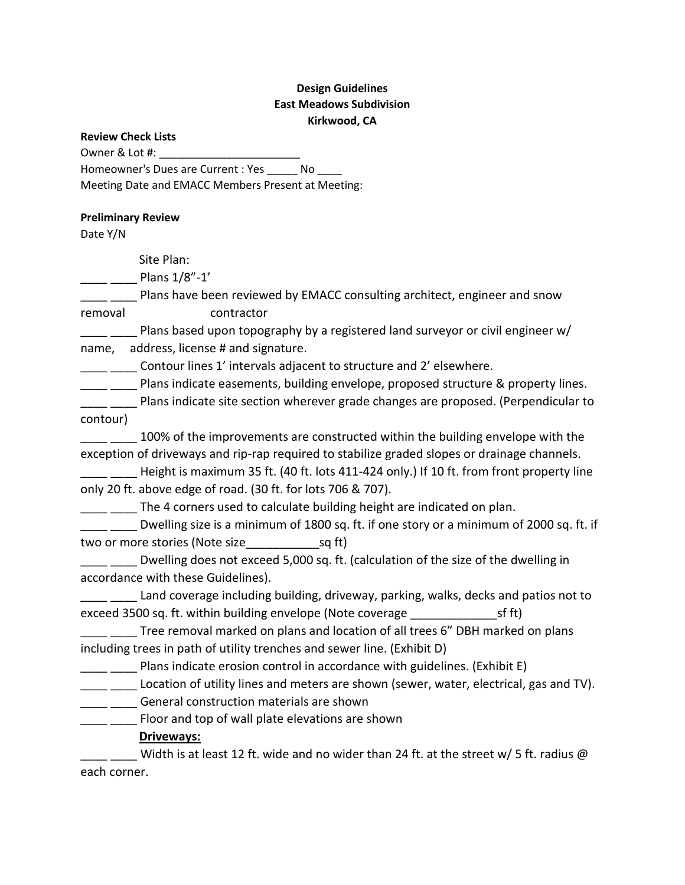# **Design Guidelines East Meadows Subdivision Kirkwood, CA**

|  | <b>Review Check Lists</b> |  |
|--|---------------------------|--|
|--|---------------------------|--|

Owner & Lot #:

Homeowner's Dues are Current : Yes \_\_\_\_\_ No \_\_\_\_

Meeting Date and EMACC Members Present at Meeting:

#### **Preliminary Review**

Date Y/N

Site Plan:

Plans 1/8"-1'

Plans have been reviewed by EMACC consulting architect, engineer and snow

removal contractor

Plans based upon topography by a registered land surveyor or civil engineer  $w/$ name, address, license # and signature.

**\_\_\_\_\_** \_\_\_\_\_ Contour lines 1' intervals adjacent to structure and 2' elsewhere.

\_\_\_\_\_ Plans indicate easements, building envelope, proposed structure & property lines.

**\_\_\_** \_\_\_\_ Plans indicate site section wherever grade changes are proposed. (Perpendicular to contour)

**\_\_\_** \_\_\_\_ 100% of the improvements are constructed within the building envelope with the exception of driveways and rip-rap required to stabilize graded slopes or drainage channels.

Height is maximum 35 ft. (40 ft. lots 411-424 only.) If 10 ft. from front property line only 20 ft. above edge of road. (30 ft. for lots 706 & 707).

The 4 corners used to calculate building height are indicated on plan.

Dwelling size is a minimum of 1800 sq. ft. if one story or a minimum of 2000 sq. ft. if two or more stories (Note size\_\_\_\_\_\_\_\_\_\_\_sq ft)

Dwelling does not exceed 5,000 sq. ft. (calculation of the size of the dwelling in accordance with these Guidelines).

\_\_\_\_ \_\_\_\_ Land coverage including building, driveway, parking, walks, decks and patios not to exceed 3500 sq. ft. within building envelope (Note coverage \_\_\_\_\_\_\_\_\_\_\_\_\_sf ft)

\_\_\_\_ \_\_\_\_ Tree removal marked on plans and location of all trees 6" DBH marked on plans including trees in path of utility trenches and sewer line. (Exhibit D)

Plans indicate erosion control in accordance with guidelines. (Exhibit E)

Location of utility lines and meters are shown (sewer, water, electrical, gas and TV).

\_\_\_\_ \_\_\_\_ General construction materials are shown

[1000] Floor and top of wall plate elevations are shown

**Driveways:**

Width is at least 12 ft. wide and no wider than 24 ft. at the street w/ 5 ft. radius @ each corner.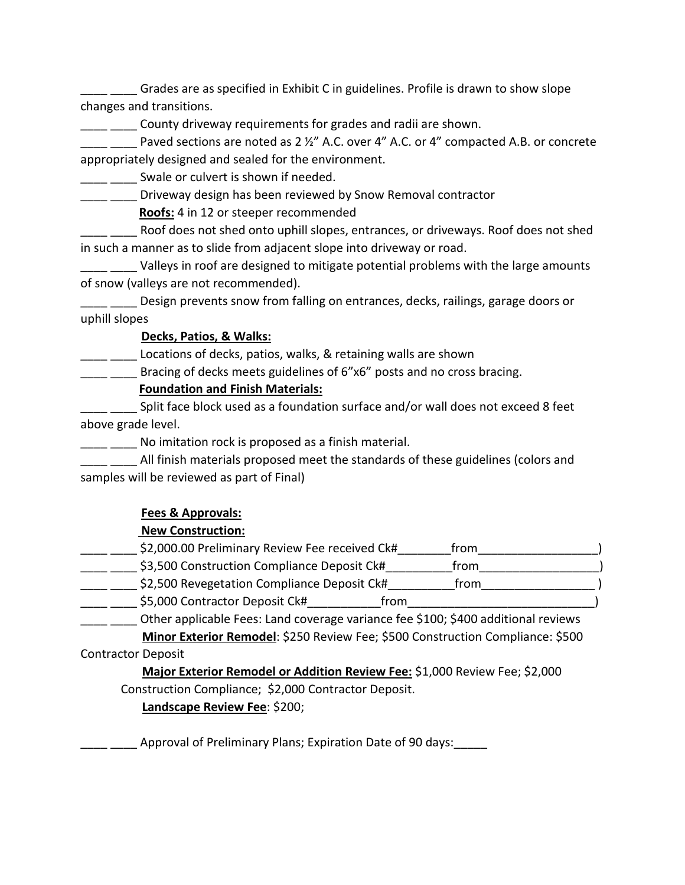\_\_\_\_ \_\_\_\_ Grades are as specified in Exhibit C in guidelines. Profile is drawn to show slope changes and transitions.

County driveway requirements for grades and radii are shown.

Paved sections are noted as 2 ½" A.C. over 4" A.C. or 4" compacted A.B. or concrete appropriately designed and sealed for the environment.

\_\_\_\_\_\_\_ Swale or culvert is shown if needed.

\_\_\_\_ \_\_\_\_ Driveway design has been reviewed by Snow Removal contractor

**Roofs:** 4 in 12 or steeper recommended

Roof does not shed onto uphill slopes, entrances, or driveways. Roof does not shed in such a manner as to slide from adjacent slope into driveway or road.

Valleys in roof are designed to mitigate potential problems with the large amounts of snow (valleys are not recommended).

Design prevents snow from falling on entrances, decks, railings, garage doors or uphill slopes

## **Decks, Patios, & Walks:**

Locations of decks, patios, walks, & retaining walls are shown

**\_\_\_** \_\_\_\_ Bracing of decks meets guidelines of 6"x6" posts and no cross bracing.

## **Foundation and Finish Materials:**

\_ \_\_\_\_ Split face block used as a foundation surface and/or wall does not exceed 8 feet above grade level.

No imitation rock is proposed as a finish material.

All finish materials proposed meet the standards of these guidelines (colors and samples will be reviewed as part of Final)

# **Fees & Approvals:**

# **New Construction:**

| \$2,000.00 Preliminary Review Fee received Ck# | trom |  |
|------------------------------------------------|------|--|
| \$3,500 Construction Compliance Deposit Ck#    | trom |  |
| \$2,500 Revegetation Compliance Deposit Ck#    | trom |  |
| \$5,000 Contractor Deposit Ck#<br>trom         |      |  |

\_\_\_\_ \_\_\_\_ Other applicable Fees: Land coverage variance fee \$100; \$400 additional reviews **Minor Exterior Remodel**: \$250 Review Fee; \$500 Construction Compliance: \$500

## Contractor Deposit

 **Major Exterior Remodel or Addition Review Fee:** \$1,000 Review Fee; \$2,000 Construction Compliance; \$2,000 Contractor Deposit.

**Landscape Review Fee**: \$200;

Approval of Preliminary Plans; Expiration Date of 90 days: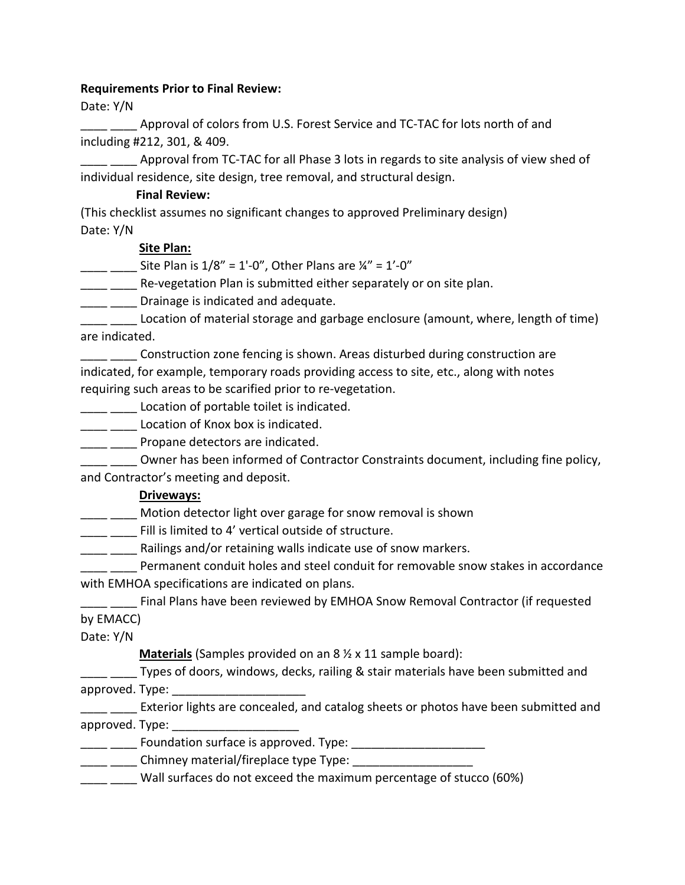#### **Requirements Prior to Final Review:**

Date: Y/N

\_\_\_\_ \_\_\_\_ Approval of colors from U.S. Forest Service and TC-TAC for lots north of and including #212, 301, & 409.

**\_\_\_\_\_** Approval from TC-TAC for all Phase 3 lots in regards to site analysis of view shed of individual residence, site design, tree removal, and structural design.

#### **Final Review:**

(This checklist assumes no significant changes to approved Preliminary design) Date: Y/N

## **Site Plan:**

Site Plan is  $1/8" = 1'-0"$ , Other Plans are  $\frac{1}{4}$ " = 1'-0"

Re-vegetation Plan is submitted either separately or on site plan.

**\_\_\_\_** \_\_\_\_ Drainage is indicated and adequate.

Location of material storage and garbage enclosure (amount, where, length of time) are indicated.

\_\_\_\_ \_\_\_\_ Construction zone fencing is shown. Areas disturbed during construction are indicated, for example, temporary roads providing access to site, etc., along with notes requiring such areas to be scarified prior to re-vegetation.

**\_\_\_\_** Location of portable toilet is indicated.

\_\_\_\_\_ Location of Knox box is indicated.

**\_\_\_\_** \_\_\_\_\_ Propane detectors are indicated.

Owner has been informed of Contractor Constraints document, including fine policy, and Contractor's meeting and deposit.

# **Driveways:**

\_\_\_\_ \_\_\_\_ Motion detector light over garage for snow removal is shown

**\_\_\_\_** Fill is limited to 4' vertical outside of structure.

**\_\_\_\_** \_\_\_\_\_ Railings and/or retaining walls indicate use of snow markers.

Permanent conduit holes and steel conduit for removable snow stakes in accordance with EMHOA specifications are indicated on plans.

\_\_\_\_ \_\_\_\_ Final Plans have been reviewed by EMHOA Snow Removal Contractor (if requested by EMACC)

Date: Y/N

**Materials** (Samples provided on an 8 ½ x 11 sample board):

\_ Types of doors, windows, decks, railing & stair materials have been submitted and approved. Type:

Exterior lights are concealed, and catalog sheets or photos have been submitted and approved. Type:

\_\_ \_\_\_\_\_ Foundation surface is approved. Type: \_\_\_\_\_\_\_\_\_\_\_\_\_\_\_\_\_\_\_\_\_\_\_\_\_\_\_\_\_\_\_\_\_

 $\equiv$  \_\_\_\_\_\_ Chimney material/fireplace type Type:  $\equiv$ 

\_\_\_\_ \_\_\_\_ Wall surfaces do not exceed the maximum percentage of stucco (60%)